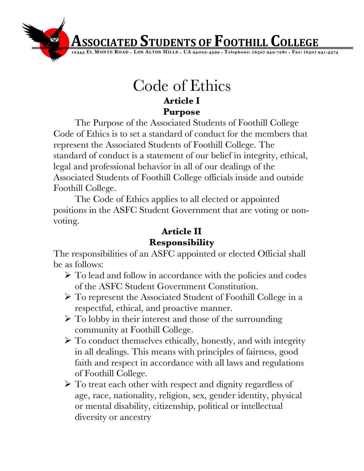**Associated Students of Foothill College** 

**12345 EL MONTE ROAD** ♦ **LOS ALTOS HILLS** ♦ **CA 94022-4599** ♦ **Telephone: (650) 949-7281** ♦ **Fax: (650) 941-4574**

## Code of Ethics **Article I Purpose**

The Purpose of the Associated Students of Foothill College Code of Ethics is to set a standard of conduct for the members that represent the Associated Students of Foothill College. The standard of conduct is a statement of our belief in integrity, ethical, legal and professional behavior in all of our dealings of the Associated Students of Foothill College officials inside and outside Foothill College.

The Code of Ethics applies to all elected or appointed positions in the ASFC Student Government that are voting or nonvoting.

## **Article II Responsibility**

The responsibilities of an ASFC appointed or elected Official shall be as follows:

- $\triangleright$  To lead and follow in accordance with the policies and codes of the ASFC Student Government Constitution.
- To represent the Associated Student of Foothill College in a respectful, ethical, and proactive manner.
- $\triangleright$  To lobby in their interest and those of the surrounding community at Foothill College.
- $\triangleright$  To conduct themselves ethically, honestly, and with integrity in all dealings. This means with principles of fairness, good faith and respect in accordance with all laws and regulations of Foothill College.
- $\triangleright$  To treat each other with respect and dignity regardless of age, race, nationality, religion, sex, gender identity, physical or mental disability, citizenship, political or intellectual diversity or ancestry